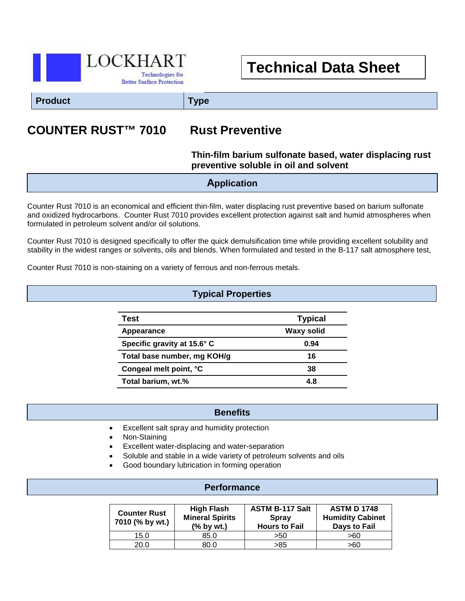

## **Technical Data Sheet**

**Product Type**

### **COUNTER RUST™ 7010 Rust Preventive**

# **Thin-film barium sulfonate based, water displacing rust**

#### **preventive soluble in oil and solvent**

#### **Application**

Counter Rust 7010 is an economical and efficient thin-film, water displacing rust preventive based on barium sulfonate and oxidized hydrocarbons. Counter Rust 7010 provides excellent protection against salt and humid atmospheres when formulated in petroleum solvent and/or oil solutions.

Counter Rust 7010 is designed specifically to offer the quick demulsification time while providing excellent solubility and stability in the widest ranges or solvents, oils and blends. When formulated and tested in the B-117 salt atmosphere test,

Counter Rust 7010 is non-staining on a variety of ferrous and non-ferrous metals.

#### **Typical Properties**

| Test                        | <b>Typical</b>    |
|-----------------------------|-------------------|
| Appearance                  | <b>Waxy solid</b> |
| Specific gravity at 15.6° C | 0.94              |
| Total base number, mg KOH/g | 16                |
| Congeal melt point, °C      | 38                |
| Total barium, wt.%          | 4.8               |

#### **Benefits**

- i<br>I • Excellent salt spray and humidity protection
- Non-Staining
- Excellent water-displacing and water-separation
- Soluble and stable in a wide variety of petroleum solvents and oils
- Good boundary lubrication in forming operation

#### **Performance**

| <b>Counter Rust</b><br>7010 (% by wt.) | High Flash<br><b>Mineral Spirits</b><br>$%$ by wt.) | <b>ASTM B-117 Salt</b><br><b>Spray</b><br><b>Hours to Fail</b> | <b>ASTM D 1748</b><br><b>Humidity Cabinet</b><br><b>Days to Fail</b> |
|----------------------------------------|-----------------------------------------------------|----------------------------------------------------------------|----------------------------------------------------------------------|
| 15.0                                   | 85.0                                                | >50                                                            | >60                                                                  |
| 20.0                                   | 80.0                                                | >85                                                            | >60                                                                  |